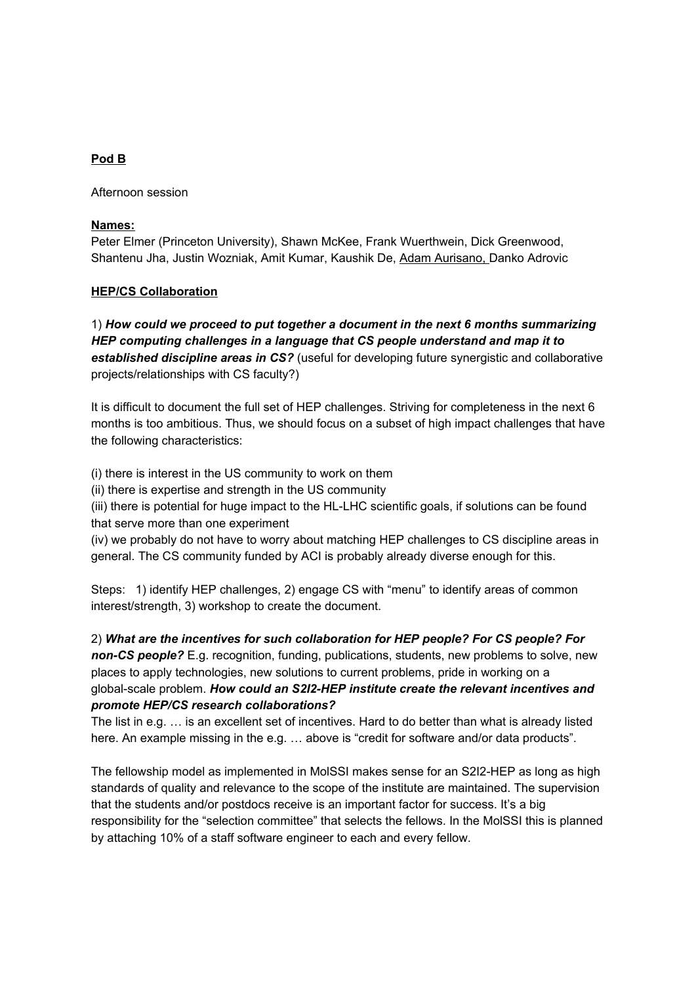#### **Pod B**

Afternoon session

#### **Names:**

Peter Elmer (Princeton University), Shawn McKee, Frank Wuerthwein, Dick Greenwood, Shantenu Jha, Justin Wozniak, Amit Kumar, Kaushik De, Adam Aurisano, Danko Adrovic

### **HEP/CS Collaboration**

1) *How could we proceed to put together a document in the next 6 months summarizing HEP computing challenges in a language that CS people understand and map it to established discipline a reas in CS?* (useful for developing future synergistic and collaborative projects/relationships with CS faculty?)

It is difficult to document the full set of HEP challenges. Striving for completeness in the next 6 months is too ambitious. Thus, we should focus on a subset of high impact challenges that have the following characteristics:

(i) there is interest in the US community to work on them

(ii) there is expertise and strength in the US community

(iii) there is potential for huge impact to the HL-LHC scientific goals, if solutions can be found that serve more than one experiment

(iv) we probably do not have to worry about matching HEP challenges to CS discipline areas in general. The CS community funded by ACI is probably already diverse enough for this.

Steps: 1) identify HEP challenges, 2) engage CS with "menu" to identify areas of common interest/strength, 3) workshop to create the document.

2) *What are the incentives for such collaboration for HEP people? For CS people? For non-CS people?* E.g. recognition, funding, publications, students, new problems to solve, new places to apply technologies, new solutions to current problems, pride in working on a global-scale problem. *How could an S2I2-HEP institute create the relevant incentives and promote HEP/CS research collaborations?*

The list in e.g. … is an excellent set of incentives. Hard to do better than what is already listed here. An example missing in the e.g. ... above is "credit for software and/or data products".

The fellowship model as implemented in MolSSI makes sense for an S2I2-HEP as long as high standards of quality and relevance to the scope of the institute are maintained. The supervision that the students and/or postdocs receive is an important factor for success. It's a big responsibility for the "selection committee" that selects the fellows. In the MolSSI this is planned by attaching 10% of a staff software engineer to each and every fellow.